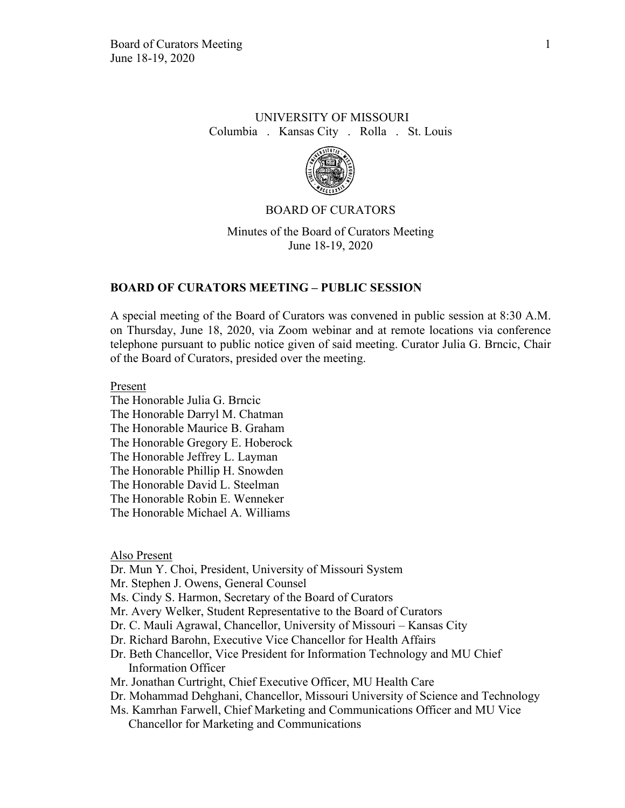# UNIVERSITY OF MISSOURI Columbia . Kansas City . Rolla . St. Louis



# BOARD OF CURATORS

Minutes of the Board of Curators Meeting June 18-19, 2020

### **BOARD OF CURATORS MEETING – PUBLIC SESSION**

A special meeting of the Board of Curators was convened in public session at 8:30 A.M. on Thursday, June 18, 2020, via Zoom webinar and at remote locations via conference telephone pursuant to public notice given of said meeting. Curator Julia G. Brncic, Chair of the Board of Curators, presided over the meeting.

Present

The Honorable Julia G. Brncic The Honorable Darryl M. Chatman The Honorable Maurice B. Graham The Honorable Gregory E. Hoberock The Honorable Jeffrey L. Layman The Honorable Phillip H. Snowden The Honorable David L. Steelman The Honorable Robin E. Wenneker The Honorable Michael A. Williams

Also Present

Dr. Mun Y. Choi, President, University of Missouri System

Mr. Stephen J. Owens, General Counsel

Ms. Cindy S. Harmon, Secretary of the Board of Curators

Mr. Avery Welker, Student Representative to the Board of Curators

- Dr. C. Mauli Agrawal, Chancellor, University of Missouri Kansas City
- Dr. Richard Barohn, Executive Vice Chancellor for Health Affairs
- Dr. Beth Chancellor, Vice President for Information Technology and MU Chief Information Officer
- Mr. Jonathan Curtright, Chief Executive Officer, MU Health Care
- Dr. Mohammad Dehghani, Chancellor, Missouri University of Science and Technology
- Ms. Kamrhan Farwell, Chief Marketing and Communications Officer and MU Vice Chancellor for Marketing and Communications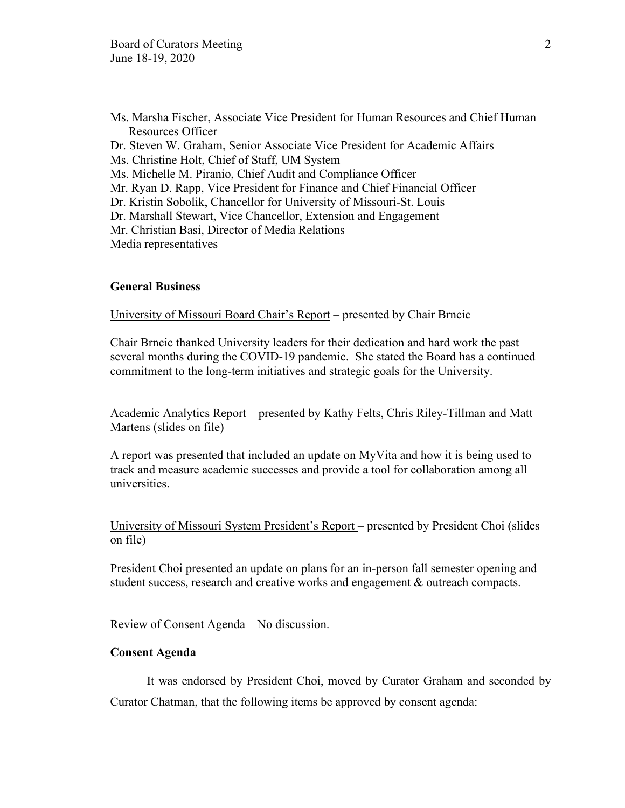Ms. Marsha Fischer, Associate Vice President for Human Resources and Chief Human Resources Officer Dr. Steven W. Graham, Senior Associate Vice President for Academic Affairs Ms. Christine Holt, Chief of Staff, UM System Ms. Michelle M. Piranio, Chief Audit and Compliance Officer Mr. Ryan D. Rapp, Vice President for Finance and Chief Financial Officer Dr. Kristin Sobolik, Chancellor for University of Missouri-St. Louis Dr. Marshall Stewart, Vice Chancellor, Extension and Engagement Mr. Christian Basi, Director of Media Relations Media representatives

### **General Business**

University of Missouri Board Chair's Report – presented by Chair Brncic

Chair Brncic thanked University leaders for their dedication and hard work the past several months during the COVID-19 pandemic. She stated the Board has a continued commitment to the long-term initiatives and strategic goals for the University.

Academic Analytics Report – presented by Kathy Felts, Chris Riley-Tillman and Matt Martens (slides on file)

A report was presented that included an update on MyVita and how it is being used to track and measure academic successes and provide a tool for collaboration among all universities.

University of Missouri System President's Report – presented by President Choi (slides on file)

President Choi presented an update on plans for an in-person fall semester opening and student success, research and creative works and engagement & outreach compacts.

Review of Consent Agenda – No discussion.

### **Consent Agenda**

It was endorsed by President Choi, moved by Curator Graham and seconded by Curator Chatman, that the following items be approved by consent agenda: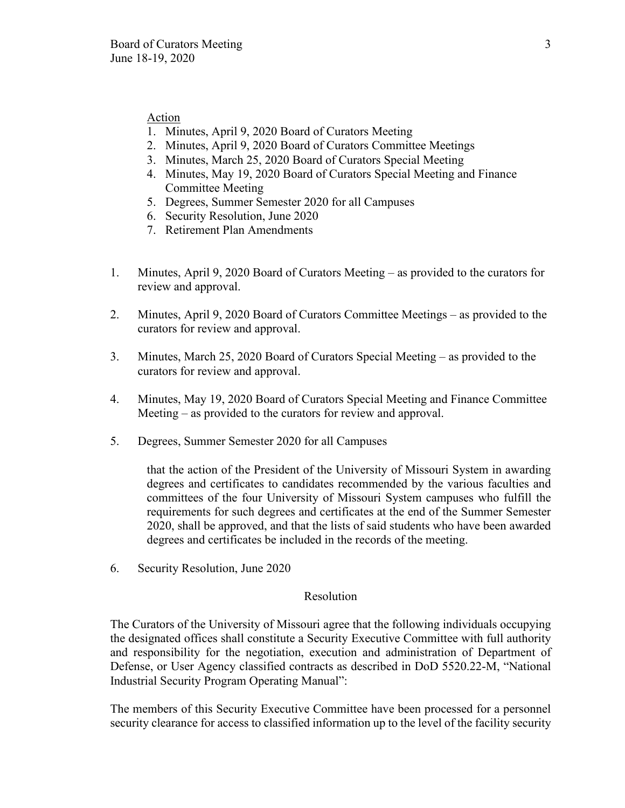### **Action**

- 1. Minutes, April 9, 2020 Board of Curators Meeting
- 2. Minutes, April 9, 2020 Board of Curators Committee Meetings
- 3. Minutes, March 25, 2020 Board of Curators Special Meeting
- 4. Minutes, May 19, 2020 Board of Curators Special Meeting and Finance Committee Meeting
- 5. Degrees, Summer Semester 2020 for all Campuses
- 6. Security Resolution, June 2020
- 7. Retirement Plan Amendments
- 1. Minutes, April 9, 2020 Board of Curators Meeting as provided to the curators for review and approval.
- 2. Minutes, April 9, 2020 Board of Curators Committee Meetings as provided to the curators for review and approval.
- 3. Minutes, March 25, 2020 Board of Curators Special Meeting as provided to the curators for review and approval.
- 4. Minutes, May 19, 2020 Board of Curators Special Meeting and Finance Committee Meeting – as provided to the curators for review and approval.
- 5. Degrees, Summer Semester 2020 for all Campuses

that the action of the President of the University of Missouri System in awarding degrees and certificates to candidates recommended by the various faculties and committees of the four University of Missouri System campuses who fulfill the requirements for such degrees and certificates at the end of the Summer Semester 2020, shall be approved, and that the lists of said students who have been awarded degrees and certificates be included in the records of the meeting.

6. Security Resolution, June 2020

#### Resolution

The Curators of the University of Missouri agree that the following individuals occupying the designated offices shall constitute a Security Executive Committee with full authority and responsibility for the negotiation, execution and administration of Department of Defense, or User Agency classified contracts as described in DoD 5520.22-M, "National Industrial Security Program Operating Manual":

The members of this Security Executive Committee have been processed for a personnel security clearance for access to classified information up to the level of the facility security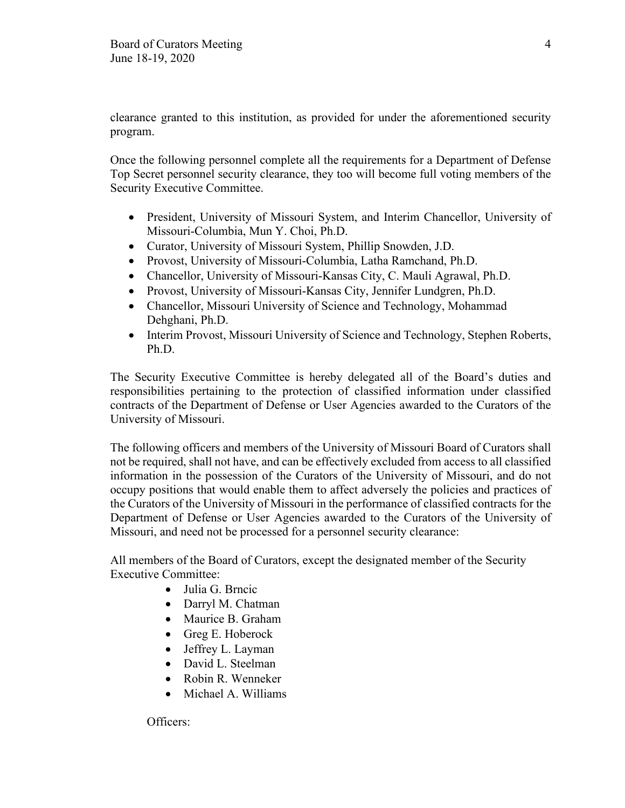clearance granted to this institution, as provided for under the aforementioned security program.

Once the following personnel complete all the requirements for a Department of Defense Top Secret personnel security clearance, they too will become full voting members of the Security Executive Committee.

- President, University of Missouri System, and Interim Chancellor, University of Missouri-Columbia, Mun Y. Choi, Ph.D.
- Curator, University of Missouri System, Phillip Snowden, J.D.
- Provost, University of Missouri-Columbia, Latha Ramchand, Ph.D.
- Chancellor, University of Missouri-Kansas City, C. Mauli Agrawal, Ph.D.
- Provost, University of Missouri-Kansas City, Jennifer Lundgren, Ph.D.
- Chancellor, Missouri University of Science and Technology, Mohammad Dehghani, Ph.D.
- Interim Provost, Missouri University of Science and Technology, Stephen Roberts, Ph.D.

The Security Executive Committee is hereby delegated all of the Board's duties and responsibilities pertaining to the protection of classified information under classified contracts of the Department of Defense or User Agencies awarded to the Curators of the University of Missouri.

The following officers and members of the University of Missouri Board of Curators shall not be required, shall not have, and can be effectively excluded from access to all classified information in the possession of the Curators of the University of Missouri, and do not occupy positions that would enable them to affect adversely the policies and practices of the Curators of the University of Missouri in the performance of classified contracts for the Department of Defense or User Agencies awarded to the Curators of the University of Missouri, and need not be processed for a personnel security clearance:

All members of the Board of Curators, except the designated member of the Security Executive Committee:

- Julia G. Brncic
- Darryl M. Chatman
- Maurice B. Graham
- Greg E. Hoberock
- Jeffrey L. Layman
- David L. Steelman
- Robin R. Wenneker
- Michael A. Williams

Officers: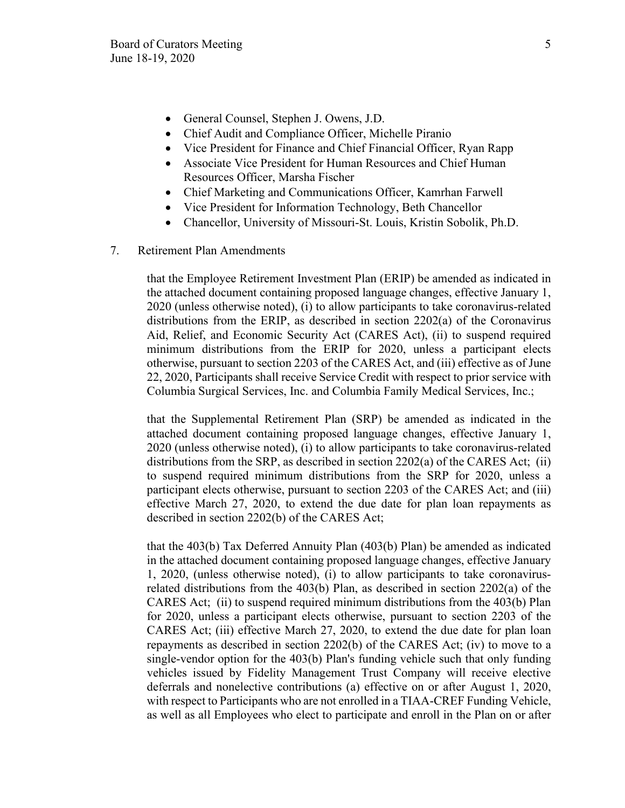- General Counsel, Stephen J. Owens, J.D.
- Chief Audit and Compliance Officer, Michelle Piranio
- Vice President for Finance and Chief Financial Officer, Ryan Rapp
- Associate Vice President for Human Resources and Chief Human Resources Officer, Marsha Fischer
- Chief Marketing and Communications Officer, Kamrhan Farwell
- Vice President for Information Technology, Beth Chancellor
- Chancellor, University of Missouri-St. Louis, Kristin Sobolik, Ph.D.
- 7. Retirement Plan Amendments

that the Employee Retirement Investment Plan (ERIP) be amended as indicated in the attached document containing proposed language changes, effective January 1, 2020 (unless otherwise noted), (i) to allow participants to take coronavirus-related distributions from the ERIP, as described in section 2202(a) of the Coronavirus Aid, Relief, and Economic Security Act (CARES Act), (ii) to suspend required minimum distributions from the ERIP for 2020, unless a participant elects otherwise, pursuant to section 2203 of the CARES Act, and (iii) effective as of June 22, 2020, Participants shall receive Service Credit with respect to prior service with Columbia Surgical Services, Inc. and Columbia Family Medical Services, Inc.;

that the Supplemental Retirement Plan (SRP) be amended as indicated in the attached document containing proposed language changes, effective January 1, 2020 (unless otherwise noted), (i) to allow participants to take coronavirus-related distributions from the SRP, as described in section 2202(a) of the CARES Act; (ii) to suspend required minimum distributions from the SRP for 2020, unless a participant elects otherwise, pursuant to section 2203 of the CARES Act; and (iii) effective March 27, 2020, to extend the due date for plan loan repayments as described in section 2202(b) of the CARES Act;

that the 403(b) Tax Deferred Annuity Plan (403(b) Plan) be amended as indicated in the attached document containing proposed language changes, effective January 1, 2020, (unless otherwise noted), (i) to allow participants to take coronavirusrelated distributions from the 403(b) Plan, as described in section 2202(a) of the CARES Act; (ii) to suspend required minimum distributions from the 403(b) Plan for 2020, unless a participant elects otherwise, pursuant to section 2203 of the CARES Act; (iii) effective March 27, 2020, to extend the due date for plan loan repayments as described in section 2202(b) of the CARES Act; (iv) to move to a single-vendor option for the 403(b) Plan's funding vehicle such that only funding vehicles issued by Fidelity Management Trust Company will receive elective deferrals and nonelective contributions (a) effective on or after August 1, 2020, with respect to Participants who are not enrolled in a TIAA-CREF Funding Vehicle, as well as all Employees who elect to participate and enroll in the Plan on or after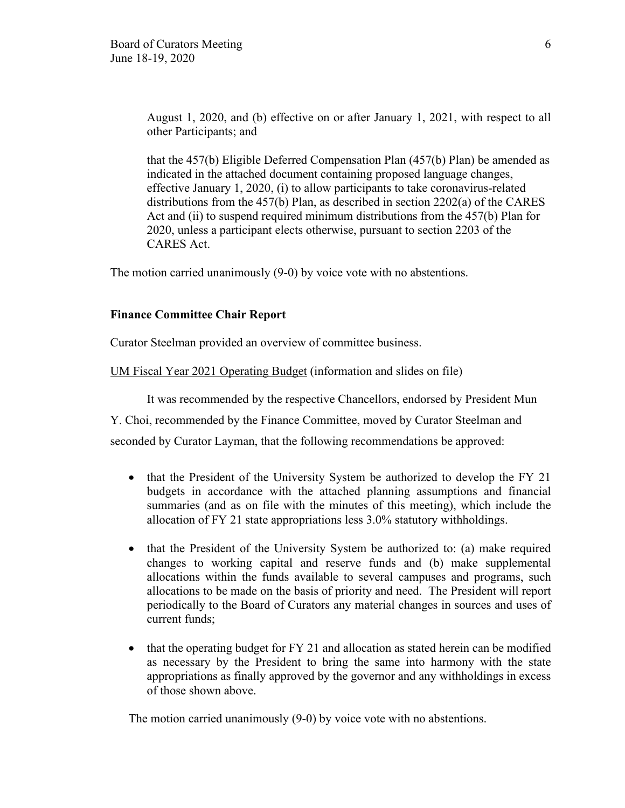August 1, 2020, and (b) effective on or after January 1, 2021, with respect to all other Participants; and

that the 457(b) Eligible Deferred Compensation Plan (457(b) Plan) be amended as indicated in the attached document containing proposed language changes, effective January 1, 2020, (i) to allow participants to take coronavirus-related distributions from the 457(b) Plan, as described in section 2202(a) of the CARES Act and (ii) to suspend required minimum distributions from the 457(b) Plan for 2020, unless a participant elects otherwise, pursuant to section 2203 of the CARES Act.

The motion carried unanimously (9-0) by voice vote with no abstentions.

### **Finance Committee Chair Report**

Curator Steelman provided an overview of committee business.

UM Fiscal Year 2021 Operating Budget (information and slides on file)

It was recommended by the respective Chancellors, endorsed by President Mun

Y. Choi, recommended by the Finance Committee, moved by Curator Steelman and

seconded by Curator Layman, that the following recommendations be approved:

- that the President of the University System be authorized to develop the FY 21 budgets in accordance with the attached planning assumptions and financial summaries (and as on file with the minutes of this meeting), which include the allocation of FY 21 state appropriations less 3.0% statutory withholdings.
- that the President of the University System be authorized to: (a) make required changes to working capital and reserve funds and (b) make supplemental allocations within the funds available to several campuses and programs, such allocations to be made on the basis of priority and need. The President will report periodically to the Board of Curators any material changes in sources and uses of current funds;
- that the operating budget for FY 21 and allocation as stated herein can be modified as necessary by the President to bring the same into harmony with the state appropriations as finally approved by the governor and any withholdings in excess of those shown above.

The motion carried unanimously (9-0) by voice vote with no abstentions.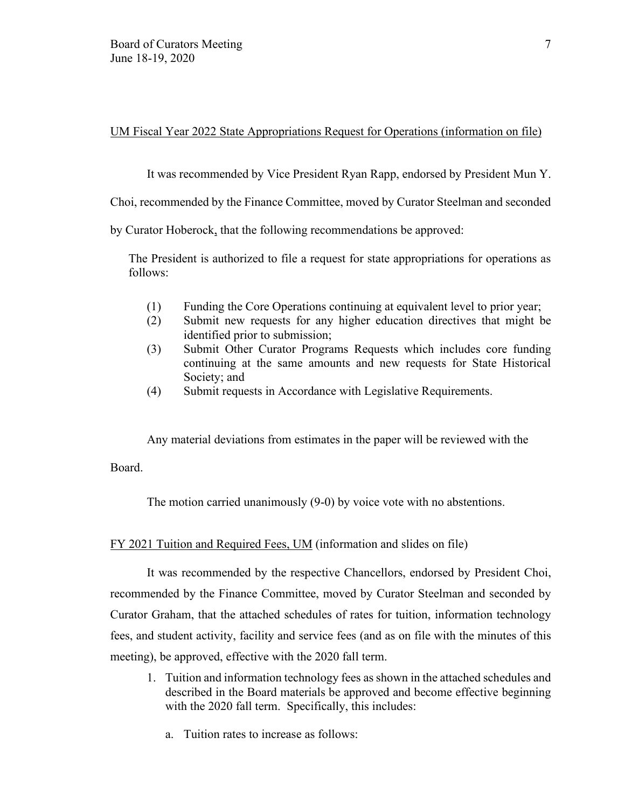UM Fiscal Year 2022 State Appropriations Request for Operations (information on file)

It was recommended by Vice President Ryan Rapp, endorsed by President Mun Y.

Choi, recommended by the Finance Committee, moved by Curator Steelman and seconded

by Curator Hoberock, that the following recommendations be approved:

The President is authorized to file a request for state appropriations for operations as follows:

- (1) Funding the Core Operations continuing at equivalent level to prior year;
- (2) Submit new requests for any higher education directives that might be identified prior to submission;
- (3) Submit Other Curator Programs Requests which includes core funding continuing at the same amounts and new requests for State Historical Society; and
- (4) Submit requests in Accordance with Legislative Requirements.

Any material deviations from estimates in the paper will be reviewed with the

Board.

The motion carried unanimously (9-0) by voice vote with no abstentions.

### FY 2021 Tuition and Required Fees, UM (information and slides on file)

It was recommended by the respective Chancellors, endorsed by President Choi, recommended by the Finance Committee, moved by Curator Steelman and seconded by Curator Graham, that the attached schedules of rates for tuition, information technology fees, and student activity, facility and service fees (and as on file with the minutes of this meeting), be approved, effective with the 2020 fall term.

- 1. Tuition and information technology fees as shown in the attached schedules and described in the Board materials be approved and become effective beginning with the 2020 fall term. Specifically, this includes:
	- a. Tuition rates to increase as follows: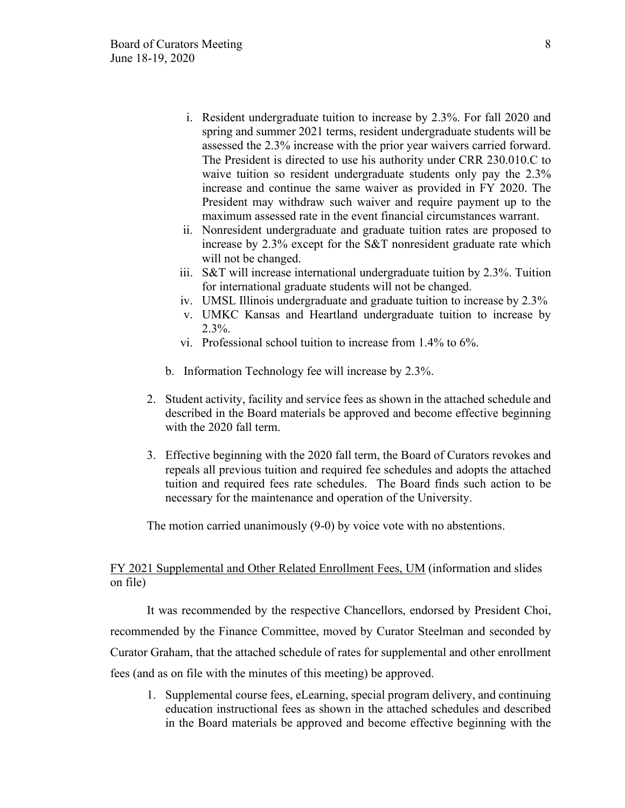- i. Resident undergraduate tuition to increase by 2.3%. For fall 2020 and spring and summer 2021 terms, resident undergraduate students will be assessed the 2.3% increase with the prior year waivers carried forward. The President is directed to use his authority under CRR 230.010.C to waive tuition so resident undergraduate students only pay the 2.3% increase and continue the same waiver as provided in FY 2020. The President may withdraw such waiver and require payment up to the maximum assessed rate in the event financial circumstances warrant.
- ii. Nonresident undergraduate and graduate tuition rates are proposed to increase by 2.3% except for the S&T nonresident graduate rate which will not be changed.
- iii. S&T will increase international undergraduate tuition by 2.3%. Tuition for international graduate students will not be changed.
- iv. UMSL Illinois undergraduate and graduate tuition to increase by 2.3%
- v. UMKC Kansas and Heartland undergraduate tuition to increase by  $2.3\%$ .
- vi. Professional school tuition to increase from 1.4% to 6%.
- b. Information Technology fee will increase by 2.3%.
- 2. Student activity, facility and service fees as shown in the attached schedule and described in the Board materials be approved and become effective beginning with the 2020 fall term.
- 3. Effective beginning with the 2020 fall term, the Board of Curators revokes and repeals all previous tuition and required fee schedules and adopts the attached tuition and required fees rate schedules. The Board finds such action to be necessary for the maintenance and operation of the University.

The motion carried unanimously (9-0) by voice vote with no abstentions.

### FY 2021 Supplemental and Other Related Enrollment Fees, UM (information and slides on file)

It was recommended by the respective Chancellors, endorsed by President Choi, recommended by the Finance Committee, moved by Curator Steelman and seconded by Curator Graham, that the attached schedule of rates for supplemental and other enrollment fees (and as on file with the minutes of this meeting) be approved.

1. Supplemental course fees, eLearning, special program delivery, and continuing education instructional fees as shown in the attached schedules and described in the Board materials be approved and become effective beginning with the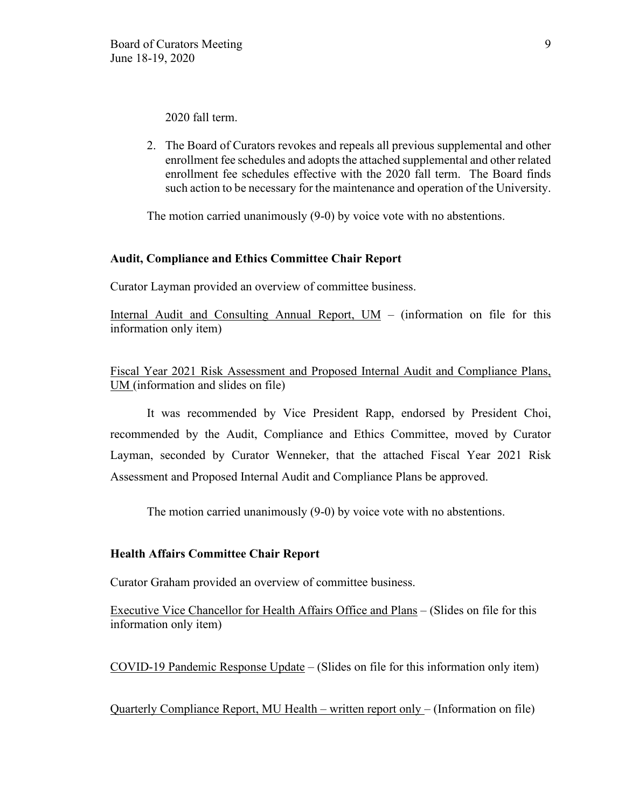2020 fall term.

2. The Board of Curators revokes and repeals all previous supplemental and other enrollment fee schedules and adopts the attached supplemental and other related enrollment fee schedules effective with the 2020 fall term. The Board finds such action to be necessary for the maintenance and operation of the University.

The motion carried unanimously (9-0) by voice vote with no abstentions.

#### **Audit, Compliance and Ethics Committee Chair Report**

Curator Layman provided an overview of committee business.

Internal Audit and Consulting Annual Report,  $UM -$  (information on file for this information only item)

Fiscal Year 2021 Risk Assessment and Proposed Internal Audit and Compliance Plans, UM (information and slides on file)

It was recommended by Vice President Rapp, endorsed by President Choi, recommended by the Audit, Compliance and Ethics Committee, moved by Curator Layman, seconded by Curator Wenneker, that the attached Fiscal Year 2021 Risk Assessment and Proposed Internal Audit and Compliance Plans be approved.

The motion carried unanimously (9-0) by voice vote with no abstentions.

#### **Health Affairs Committee Chair Report**

Curator Graham provided an overview of committee business.

Executive Vice Chancellor for Health Affairs Office and Plans – (Slides on file for this information only item)

COVID-19 Pandemic Response Update – (Slides on file for this information only item)

Quarterly Compliance Report, MU Health – written report only – (Information on file)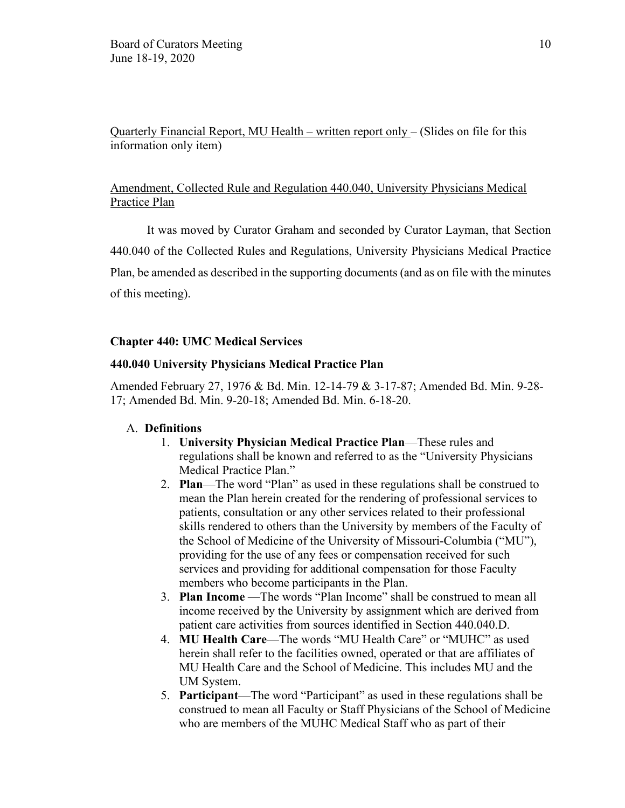Quarterly Financial Report, MU Health – written report only – (Slides on file for this information only item)

# Amendment, Collected Rule and Regulation 440.040, University Physicians Medical Practice Plan

It was moved by Curator Graham and seconded by Curator Layman, that Section 440.040 of the Collected Rules and Regulations, University Physicians Medical Practice Plan, be amended as described in the supporting documents (and as on file with the minutes of this meeting).

# **Chapter 440: UMC Medical Services**

### **440.040 University Physicians Medical Practice Plan**

Amended February 27, 1976 & Bd. Min. 12-14-79 & 3-17-87; Amended Bd. Min. 9-28- 17; Amended Bd. Min. 9-20-18; Amended Bd. Min. 6-18-20.

### A. **Definitions**

- 1. **University Physician Medical Practice Plan**—These rules and regulations shall be known and referred to as the "University Physicians Medical Practice Plan."
- 2. **Plan**—The word "Plan" as used in these regulations shall be construed to mean the Plan herein created for the rendering of professional services to patients, consultation or any other services related to their professional skills rendered to others than the University by members of the Faculty of the School of Medicine of the University of Missouri-Columbia ("MU"), providing for the use of any fees or compensation received for such services and providing for additional compensation for those Faculty members who become participants in the Plan.
- 3. **Plan Income** —The words "Plan Income" shall be construed to mean all income received by the University by assignment which are derived from patient care activities from sources identified in Section 440.040.D.
- 4. **MU Health Care**—The words "MU Health Care" or "MUHC" as used herein shall refer to the facilities owned, operated or that are affiliates of MU Health Care and the School of Medicine. This includes MU and the UM System.
- 5. **Participant**—The word "Participant" as used in these regulations shall be construed to mean all Faculty or Staff Physicians of the School of Medicine who are members of the MUHC Medical Staff who as part of their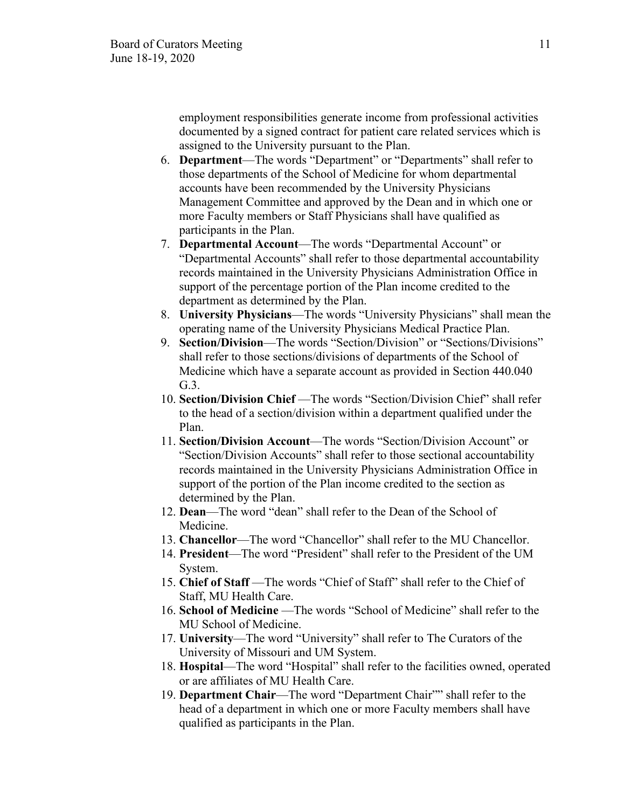employment responsibilities generate income from professional activities documented by a signed contract for patient care related services which is assigned to the University pursuant to the Plan.

- 6. **Department**—The words "Department" or "Departments" shall refer to those departments of the School of Medicine for whom departmental accounts have been recommended by the University Physicians Management Committee and approved by the Dean and in which one or more Faculty members or Staff Physicians shall have qualified as participants in the Plan.
- 7. **Departmental Account**—The words "Departmental Account" or "Departmental Accounts" shall refer to those departmental accountability records maintained in the University Physicians Administration Office in support of the percentage portion of the Plan income credited to the department as determined by the Plan.
- 8. **University Physicians**—The words "University Physicians" shall mean the operating name of the University Physicians Medical Practice Plan.
- 9. **Section/Division**—The words "Section/Division" or "Sections/Divisions" shall refer to those sections/divisions of departments of the School of Medicine which have a separate account as provided in Section 440.040 G.3.
- 10. **Section/Division Chief** —The words "Section/Division Chief" shall refer to the head of a section/division within a department qualified under the Plan.
- 11. **Section/Division Account**—The words "Section/Division Account" or "Section/Division Accounts" shall refer to those sectional accountability records maintained in the University Physicians Administration Office in support of the portion of the Plan income credited to the section as determined by the Plan.
- 12. **Dean**—The word "dean" shall refer to the Dean of the School of Medicine.
- 13. **Chancellor**—The word "Chancellor" shall refer to the MU Chancellor.
- 14. **President**—The word "President" shall refer to the President of the UM System.
- 15. **Chief of Staff** —The words "Chief of Staff" shall refer to the Chief of Staff, MU Health Care.
- 16. **School of Medicine** —The words "School of Medicine" shall refer to the MU School of Medicine.
- 17. **University**—The word "University" shall refer to The Curators of the University of Missouri and UM System.
- 18. **Hospital**—The word "Hospital" shall refer to the facilities owned, operated or are affiliates of MU Health Care.
- 19. **Department Chair**—The word "Department Chair"" shall refer to the head of a department in which one or more Faculty members shall have qualified as participants in the Plan.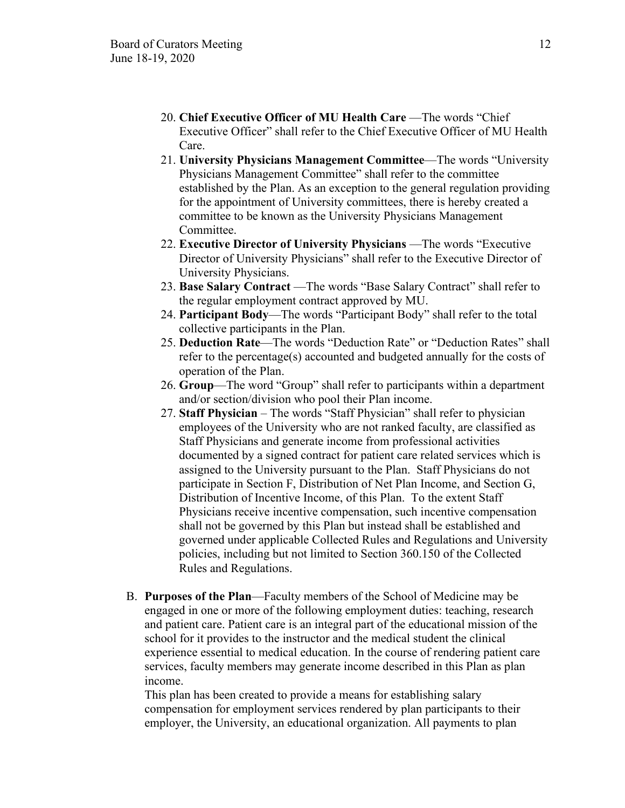- 20. **Chief Executive Officer of MU Health Care** —The words "Chief Executive Officer" shall refer to the Chief Executive Officer of MU Health Care.
- 21. **University Physicians Management Committee**—The words "University Physicians Management Committee" shall refer to the committee established by the Plan. As an exception to the general regulation providing for the appointment of University committees, there is hereby created a committee to be known as the University Physicians Management Committee.
- 22. **Executive Director of University Physicians** —The words "Executive Director of University Physicians" shall refer to the Executive Director of University Physicians.
- 23. **Base Salary Contract** —The words "Base Salary Contract" shall refer to the regular employment contract approved by MU.
- 24. **Participant Body**—The words "Participant Body" shall refer to the total collective participants in the Plan.
- 25. **Deduction Rate**—The words "Deduction Rate" or "Deduction Rates" shall refer to the percentage(s) accounted and budgeted annually for the costs of operation of the Plan.
- 26. **Group**—The word "Group" shall refer to participants within a department and/or section/division who pool their Plan income.
- 27. **Staff Physician**  The words "Staff Physician" shall refer to physician employees of the University who are not ranked faculty, are classified as Staff Physicians and generate income from professional activities documented by a signed contract for patient care related services which is assigned to the University pursuant to the Plan. Staff Physicians do not participate in Section F, Distribution of Net Plan Income, and Section G, Distribution of Incentive Income, of this Plan. To the extent Staff Physicians receive incentive compensation, such incentive compensation shall not be governed by this Plan but instead shall be established and governed under applicable Collected Rules and Regulations and University policies, including but not limited to Section 360.150 of the Collected Rules and Regulations.
- B. **Purposes of the Plan**—Faculty members of the School of Medicine may be engaged in one or more of the following employment duties: teaching, research and patient care. Patient care is an integral part of the educational mission of the school for it provides to the instructor and the medical student the clinical experience essential to medical education. In the course of rendering patient care services, faculty members may generate income described in this Plan as plan income.

This plan has been created to provide a means for establishing salary compensation for employment services rendered by plan participants to their employer, the University, an educational organization. All payments to plan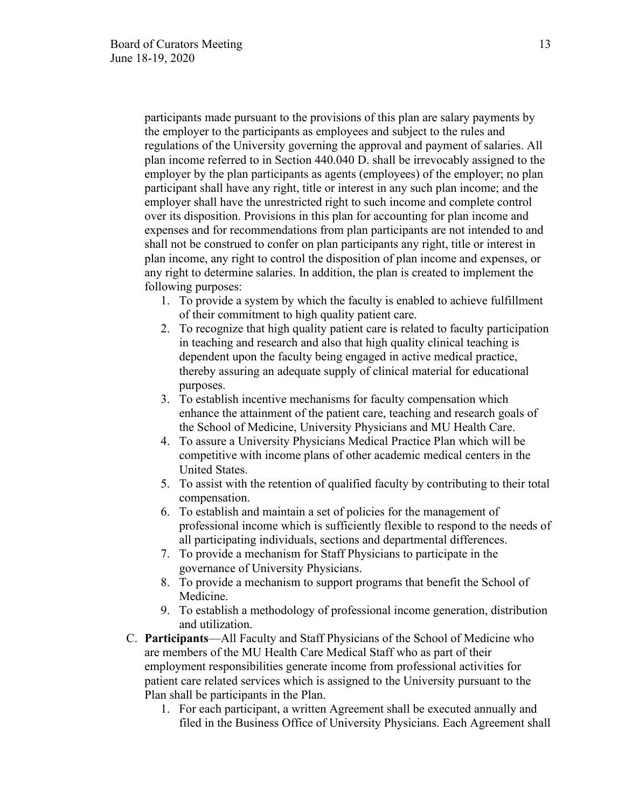participants made pursuant to the provisions of this plan are salary payments by the employer to the participants as employees and subject to the rules and regulations of the University governing the approval and payment of salaries. All plan income referred to in Section 440.040 D. shall be irrevocably assigned to the employer by the plan participants as agents (employees) of the employer; no plan participant shall have any right, title or interest in any such plan income; and the employer shall have the unrestricted right to such income and complete control over its disposition. Provisions in this plan for accounting for plan income and expenses and for recommendations from plan participants are not intended to and shall not be construed to confer on plan participants any right, title or interest in plan income, any right to control the disposition of plan income and expenses, or any right to determine salaries. In addition, the plan is created to implement the following purposes:

- 1. To provide a system by which the faculty is enabled to achieve fulfillment of their commitment to high quality patient care.
- 2. To recognize that high quality patient care is related to faculty participation in teaching and research and also that high quality clinical teaching is dependent upon the faculty being engaged in active medical practice, thereby assuring an adequate supply of clinical material for educational purposes.
- 3. To establish incentive mechanisms for faculty compensation which enhance the attainment of the patient care, teaching and research goals of the School of Medicine, University Physicians and MU Health Care.
- 4. To assure a University Physicians Medical Practice Plan which will be competitive with income plans of other academic medical centers in the United States.
- 5. To assist with the retention of qualified faculty by contributing to their total compensation.
- 6. To establish and maintain a set of policies for the management of professional income which is sufficiently flexible to respond to the needs of all participating individuals, sections and departmental differences.
- 7. To provide a mechanism for Staff Physicians to participate in the governance of University Physicians.
- 8. To provide a mechanism to support programs that benefit the School of Medicine.
- 9. To establish a methodology of professional income generation, distribution and utilization.
- C. **Participants**—All Faculty and Staff Physicians of the School of Medicine who are members of the MU Health Care Medical Staff who as part of their employment responsibilities generate income from professional activities for patient care related services which is assigned to the University pursuant to the Plan shall be participants in the Plan.
	- 1. For each participant, a written Agreement shall be executed annually and filed in the Business Office of University Physicians. Each Agreement shall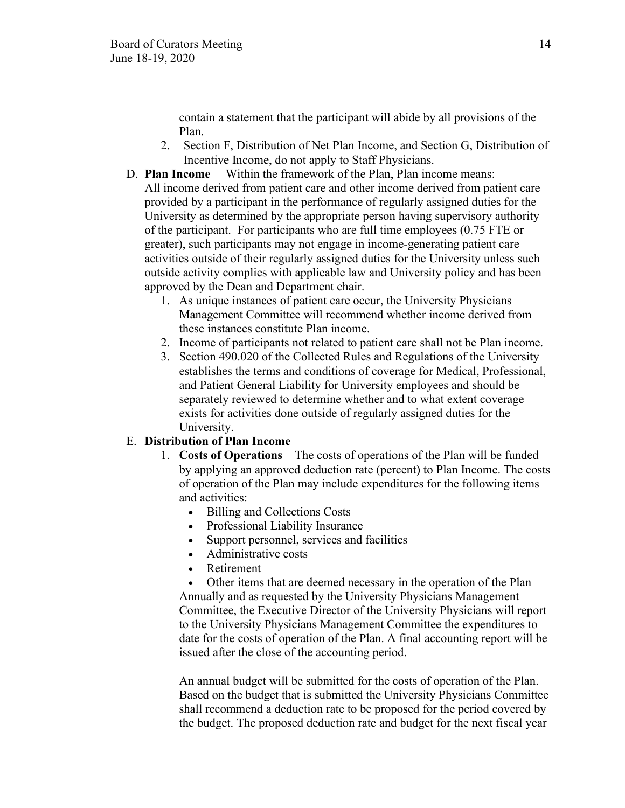contain a statement that the participant will abide by all provisions of the Plan.

- 2. Section F, Distribution of Net Plan Income, and Section G, Distribution of Incentive Income, do not apply to Staff Physicians.
- D. **Plan Income** —Within the framework of the Plan, Plan income means:

All income derived from patient care and other income derived from patient care provided by a participant in the performance of regularly assigned duties for the University as determined by the appropriate person having supervisory authority of the participant. For participants who are full time employees (0.75 FTE or greater), such participants may not engage in income-generating patient care activities outside of their regularly assigned duties for the University unless such outside activity complies with applicable law and University policy and has been approved by the Dean and Department chair.

- 1. As unique instances of patient care occur, the University Physicians Management Committee will recommend whether income derived from these instances constitute Plan income.
- 2. Income of participants not related to patient care shall not be Plan income.
- 3. Section 490.020 of the Collected Rules and Regulations of the University establishes the terms and conditions of coverage for Medical, Professional, and Patient General Liability for University employees and should be separately reviewed to determine whether and to what extent coverage exists for activities done outside of regularly assigned duties for the University.

### E. **Distribution of Plan Income**

- 1. **Costs of Operations**—The costs of operations of the Plan will be funded by applying an approved deduction rate (percent) to Plan Income. The costs of operation of the Plan may include expenditures for the following items and activities:
	- Billing and Collections Costs
	- Professional Liability Insurance
	- Support personnel, services and facilities
	- Administrative costs
	- Retirement

• Other items that are deemed necessary in the operation of the Plan Annually and as requested by the University Physicians Management Committee, the Executive Director of the University Physicians will report to the University Physicians Management Committee the expenditures to date for the costs of operation of the Plan. A final accounting report will be issued after the close of the accounting period.

An annual budget will be submitted for the costs of operation of the Plan. Based on the budget that is submitted the University Physicians Committee shall recommend a deduction rate to be proposed for the period covered by the budget. The proposed deduction rate and budget for the next fiscal year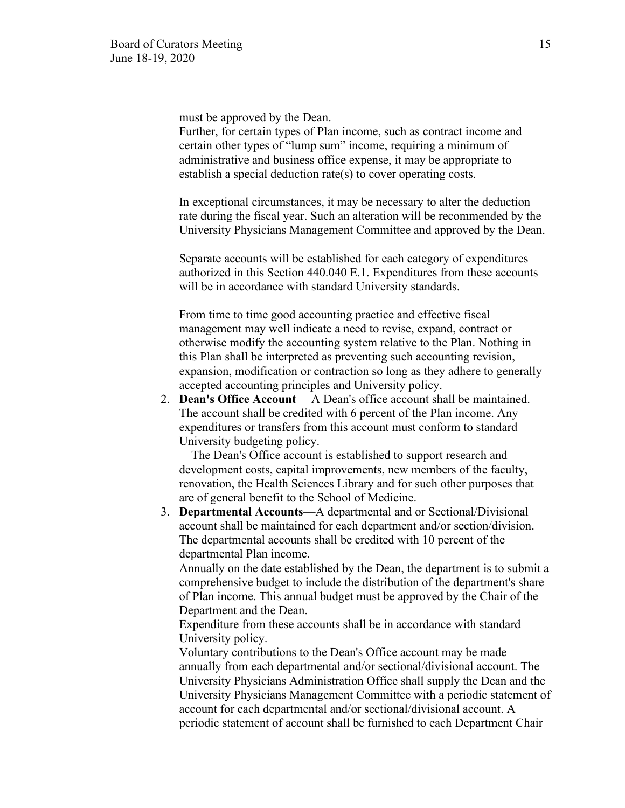must be approved by the Dean.

Further, for certain types of Plan income, such as contract income and certain other types of "lump sum" income, requiring a minimum of administrative and business office expense, it may be appropriate to establish a special deduction rate(s) to cover operating costs.

In exceptional circumstances, it may be necessary to alter the deduction rate during the fiscal year. Such an alteration will be recommended by the University Physicians Management Committee and approved by the Dean.

Separate accounts will be established for each category of expenditures authorized in this Section 440.040 E.1. Expenditures from these accounts will be in accordance with standard University standards.

From time to time good accounting practice and effective fiscal management may well indicate a need to revise, expand, contract or otherwise modify the accounting system relative to the Plan. Nothing in this Plan shall be interpreted as preventing such accounting revision, expansion, modification or contraction so long as they adhere to generally accepted accounting principles and University policy.

2. **Dean's Office Account** —A Dean's office account shall be maintained. The account shall be credited with 6 percent of the Plan income. Any expenditures or transfers from this account must conform to standard University budgeting policy.

 The Dean's Office account is established to support research and development costs, capital improvements, new members of the faculty, renovation, the Health Sciences Library and for such other purposes that are of general benefit to the School of Medicine.

3. **Departmental Accounts**—A departmental and or Sectional/Divisional account shall be maintained for each department and/or section/division. The departmental accounts shall be credited with 10 percent of the departmental Plan income.

Annually on the date established by the Dean, the department is to submit a comprehensive budget to include the distribution of the department's share of Plan income. This annual budget must be approved by the Chair of the Department and the Dean.

Expenditure from these accounts shall be in accordance with standard University policy.

Voluntary contributions to the Dean's Office account may be made annually from each departmental and/or sectional/divisional account. The University Physicians Administration Office shall supply the Dean and the University Physicians Management Committee with a periodic statement of account for each departmental and/or sectional/divisional account. A periodic statement of account shall be furnished to each Department Chair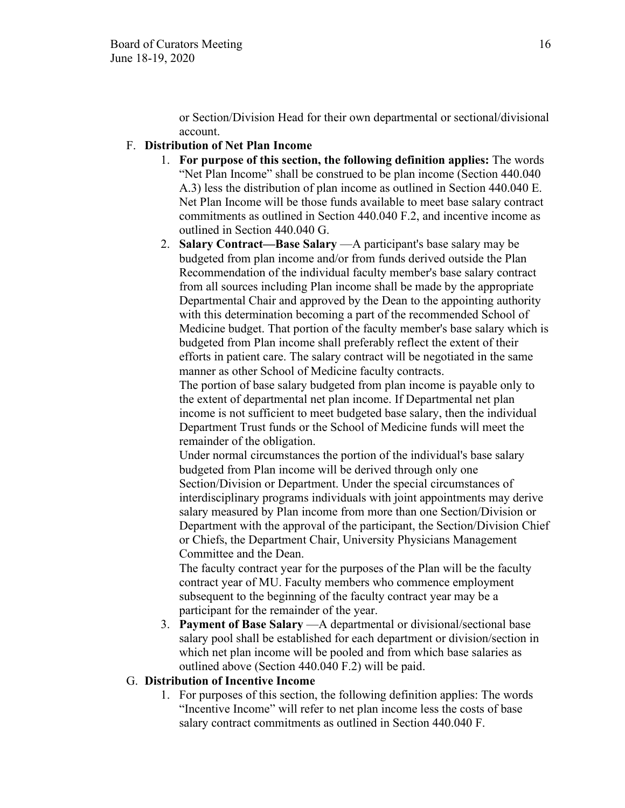or Section/Division Head for their own departmental or sectional/divisional account.

# F. **Distribution of Net Plan Income**

- 1. **For purpose of this section, the following definition applies:** The words "Net Plan Income" shall be construed to be plan income (Section 440.040 A.3) less the distribution of plan income as outlined in Section 440.040 E. Net Plan Income will be those funds available to meet base salary contract commitments as outlined in Section 440.040 F.2, and incentive income as outlined in Section 440.040 G.
- 2. **Salary Contract—Base Salary** —A participant's base salary may be budgeted from plan income and/or from funds derived outside the Plan Recommendation of the individual faculty member's base salary contract from all sources including Plan income shall be made by the appropriate Departmental Chair and approved by the Dean to the appointing authority with this determination becoming a part of the recommended School of Medicine budget. That portion of the faculty member's base salary which is budgeted from Plan income shall preferably reflect the extent of their efforts in patient care. The salary contract will be negotiated in the same manner as other School of Medicine faculty contracts.

The portion of base salary budgeted from plan income is payable only to the extent of departmental net plan income. If Departmental net plan income is not sufficient to meet budgeted base salary, then the individual Department Trust funds or the School of Medicine funds will meet the remainder of the obligation.

Under normal circumstances the portion of the individual's base salary budgeted from Plan income will be derived through only one Section/Division or Department. Under the special circumstances of interdisciplinary programs individuals with joint appointments may derive salary measured by Plan income from more than one Section/Division or Department with the approval of the participant, the Section/Division Chief or Chiefs, the Department Chair, University Physicians Management Committee and the Dean.

The faculty contract year for the purposes of the Plan will be the faculty contract year of MU. Faculty members who commence employment subsequent to the beginning of the faculty contract year may be a participant for the remainder of the year.

3. **Payment of Base Salary** —A departmental or divisional/sectional base salary pool shall be established for each department or division/section in which net plan income will be pooled and from which base salaries as outlined above (Section 440.040 F.2) will be paid.

### G. **Distribution of Incentive Income**

1. For purposes of this section, the following definition applies: The words "Incentive Income" will refer to net plan income less the costs of base salary contract commitments as outlined in Section 440.040 F.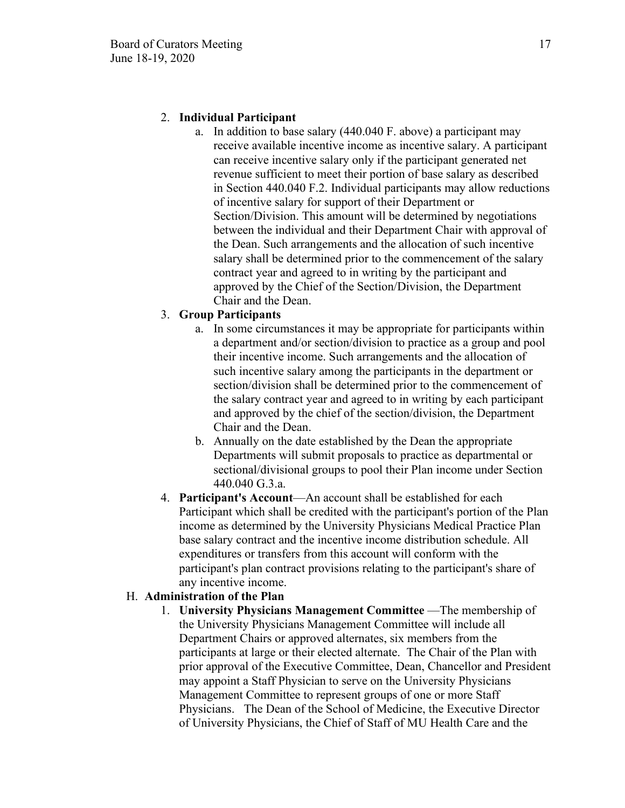# 2. **Individual Participant**

a. In addition to base salary (440.040 F. above) a participant may receive available incentive income as incentive salary. A participant can receive incentive salary only if the participant generated net revenue sufficient to meet their portion of base salary as described in Section 440.040 F.2. Individual participants may allow reductions of incentive salary for support of their Department or Section/Division. This amount will be determined by negotiations between the individual and their Department Chair with approval of the Dean. Such arrangements and the allocation of such incentive salary shall be determined prior to the commencement of the salary contract year and agreed to in writing by the participant and approved by the Chief of the Section/Division, the Department Chair and the Dean.

# 3. **Group Participants**

- a. In some circumstances it may be appropriate for participants within a department and/or section/division to practice as a group and pool their incentive income. Such arrangements and the allocation of such incentive salary among the participants in the department or section/division shall be determined prior to the commencement of the salary contract year and agreed to in writing by each participant and approved by the chief of the section/division, the Department Chair and the Dean.
- b. Annually on the date established by the Dean the appropriate Departments will submit proposals to practice as departmental or sectional/divisional groups to pool their Plan income under Section 440.040 G.3.a.
- 4. **Participant's Account**—An account shall be established for each Participant which shall be credited with the participant's portion of the Plan income as determined by the University Physicians Medical Practice Plan base salary contract and the incentive income distribution schedule. All expenditures or transfers from this account will conform with the participant's plan contract provisions relating to the participant's share of any incentive income.

# H. **Administration of the Plan**

1. **University Physicians Management Committee** —The membership of the University Physicians Management Committee will include all Department Chairs or approved alternates, six members from the participants at large or their elected alternate. The Chair of the Plan with prior approval of the Executive Committee, Dean, Chancellor and President may appoint a Staff Physician to serve on the University Physicians Management Committee to represent groups of one or more Staff Physicians. The Dean of the School of Medicine, the Executive Director of University Physicians, the Chief of Staff of MU Health Care and the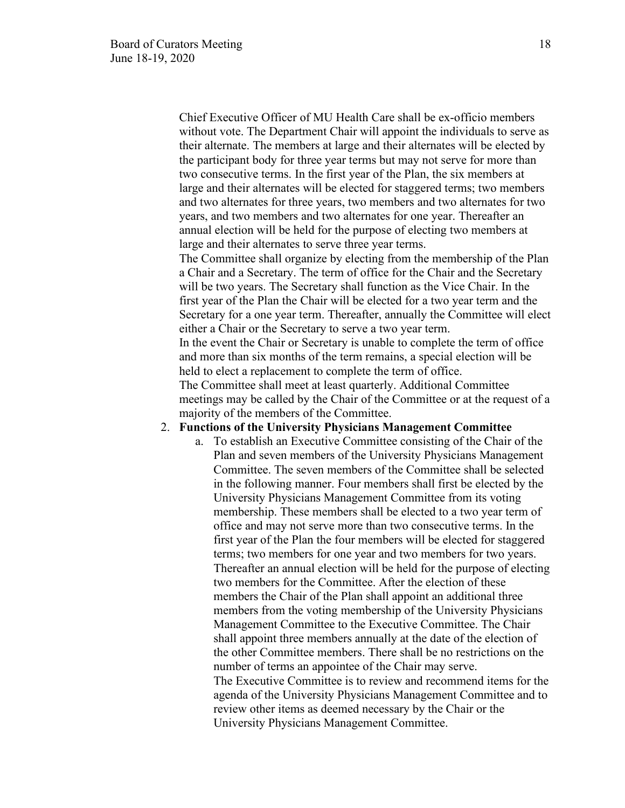Chief Executive Officer of MU Health Care shall be ex-officio members without vote. The Department Chair will appoint the individuals to serve as their alternate. The members at large and their alternates will be elected by the participant body for three year terms but may not serve for more than two consecutive terms. In the first year of the Plan, the six members at large and their alternates will be elected for staggered terms; two members and two alternates for three years, two members and two alternates for two years, and two members and two alternates for one year. Thereafter an annual election will be held for the purpose of electing two members at large and their alternates to serve three year terms.

The Committee shall organize by electing from the membership of the Plan a Chair and a Secretary. The term of office for the Chair and the Secretary will be two years. The Secretary shall function as the Vice Chair. In the first year of the Plan the Chair will be elected for a two year term and the Secretary for a one year term. Thereafter, annually the Committee will elect either a Chair or the Secretary to serve a two year term.

In the event the Chair or Secretary is unable to complete the term of office and more than six months of the term remains, a special election will be held to elect a replacement to complete the term of office.

The Committee shall meet at least quarterly. Additional Committee meetings may be called by the Chair of the Committee or at the request of a majority of the members of the Committee.

#### 2. **Functions of the University Physicians Management Committee**

a. To establish an Executive Committee consisting of the Chair of the Plan and seven members of the University Physicians Management Committee. The seven members of the Committee shall be selected in the following manner. Four members shall first be elected by the University Physicians Management Committee from its voting membership. These members shall be elected to a two year term of office and may not serve more than two consecutive terms. In the first year of the Plan the four members will be elected for staggered terms; two members for one year and two members for two years. Thereafter an annual election will be held for the purpose of electing two members for the Committee. After the election of these members the Chair of the Plan shall appoint an additional three members from the voting membership of the University Physicians Management Committee to the Executive Committee. The Chair shall appoint three members annually at the date of the election of the other Committee members. There shall be no restrictions on the number of terms an appointee of the Chair may serve. The Executive Committee is to review and recommend items for the

agenda of the University Physicians Management Committee and to review other items as deemed necessary by the Chair or the University Physicians Management Committee.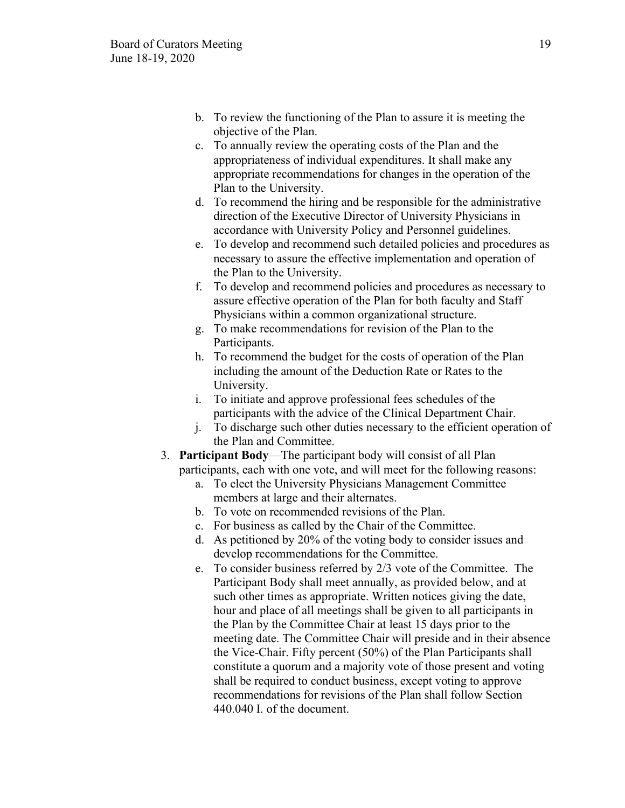- b. To review the functioning of the Plan to assure it is meeting the objective of the Plan.
- c. To annually review the operating costs of the Plan and the appropriateness of individual expenditures. It shall make any appropriate recommendations for changes in the operation of the Plan to the University.
- d. To recommend the hiring and be responsible for the administrative direction of the Executive Director of University Physicians in accordance with University Policy and Personnel guidelines.
- e. To develop and recommend such detailed policies and procedures as necessary to assure the effective implementation and operation of the Plan to the University.
- f. To develop and recommend policies and procedures as necessary to assure effective operation of the Plan for both faculty and Staff Physicians within a common organizational structure.
- g. To make recommendations for revision of the Plan to the Participants.
- h. To recommend the budget for the costs of operation of the Plan including the amount of the Deduction Rate or Rates to the University.
- i. To initiate and approve professional fees schedules of the participants with the advice of the Clinical Department Chair.
- j. To discharge such other duties necessary to the efficient operation of the Plan and Committee.
- 3. **Participant Body**—The participant body will consist of all Plan participants, each with one vote, and will meet for the following reasons:
	- a. To elect the University Physicians Management Committee members at large and their alternates.
	- b. To vote on recommended revisions of the Plan.
	- c. For business as called by the Chair of the Committee.
	- d. As petitioned by 20% of the voting body to consider issues and develop recommendations for the Committee.
	- e. To consider business referred by 2/3 vote of the Committee. The Participant Body shall meet annually, as provided below, and at such other times as appropriate. Written notices giving the date, hour and place of all meetings shall be given to all participants in the Plan by the Committee Chair at least 15 days prior to the meeting date. The Committee Chair will preside and in their absence the Vice-Chair. Fifty percent (50%) of the Plan Participants shall constitute a quorum and a majority vote of those present and voting shall be required to conduct business, except voting to approve recommendations for revisions of the Plan shall follow Section 440.040 I. of the document.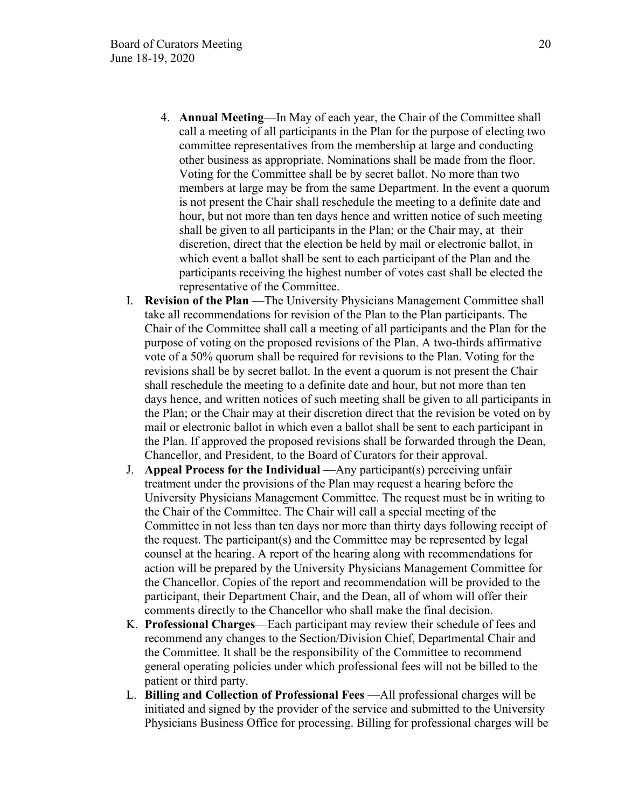- 4. **Annual Meeting**—In May of each year, the Chair of the Committee shall call a meeting of all participants in the Plan for the purpose of electing two committee representatives from the membership at large and conducting other business as appropriate. Nominations shall be made from the floor. Voting for the Committee shall be by secret ballot. No more than two members at large may be from the same Department. In the event a quorum is not present the Chair shall reschedule the meeting to a definite date and hour, but not more than ten days hence and written notice of such meeting shall be given to all participants in the Plan; or the Chair may, at their discretion, direct that the election be held by mail or electronic ballot, in which event a ballot shall be sent to each participant of the Plan and the participants receiving the highest number of votes cast shall be elected the representative of the Committee.
- I. **Revision of the Plan** —The University Physicians Management Committee shall take all recommendations for revision of the Plan to the Plan participants. The Chair of the Committee shall call a meeting of all participants and the Plan for the purpose of voting on the proposed revisions of the Plan. A two-thirds affirmative vote of a 50% quorum shall be required for revisions to the Plan. Voting for the revisions shall be by secret ballot. In the event a quorum is not present the Chair shall reschedule the meeting to a definite date and hour, but not more than ten days hence, and written notices of such meeting shall be given to all participants in the Plan; or the Chair may at their discretion direct that the revision be voted on by mail or electronic ballot in which even a ballot shall be sent to each participant in the Plan. If approved the proposed revisions shall be forwarded through the Dean, Chancellor, and President, to the Board of Curators for their approval.
- J. **Appeal Process for the Individual** —Any participant(s) perceiving unfair treatment under the provisions of the Plan may request a hearing before the University Physicians Management Committee. The request must be in writing to the Chair of the Committee. The Chair will call a special meeting of the Committee in not less than ten days nor more than thirty days following receipt of the request. The participant(s) and the Committee may be represented by legal counsel at the hearing. A report of the hearing along with recommendations for action will be prepared by the University Physicians Management Committee for the Chancellor. Copies of the report and recommendation will be provided to the participant, their Department Chair, and the Dean, all of whom will offer their comments directly to the Chancellor who shall make the final decision.
- K. **Professional Charges**—Each participant may review their schedule of fees and recommend any changes to the Section/Division Chief, Departmental Chair and the Committee. It shall be the responsibility of the Committee to recommend general operating policies under which professional fees will not be billed to the patient or third party.
- L. **Billing and Collection of Professional Fees** —All professional charges will be initiated and signed by the provider of the service and submitted to the University Physicians Business Office for processing. Billing for professional charges will be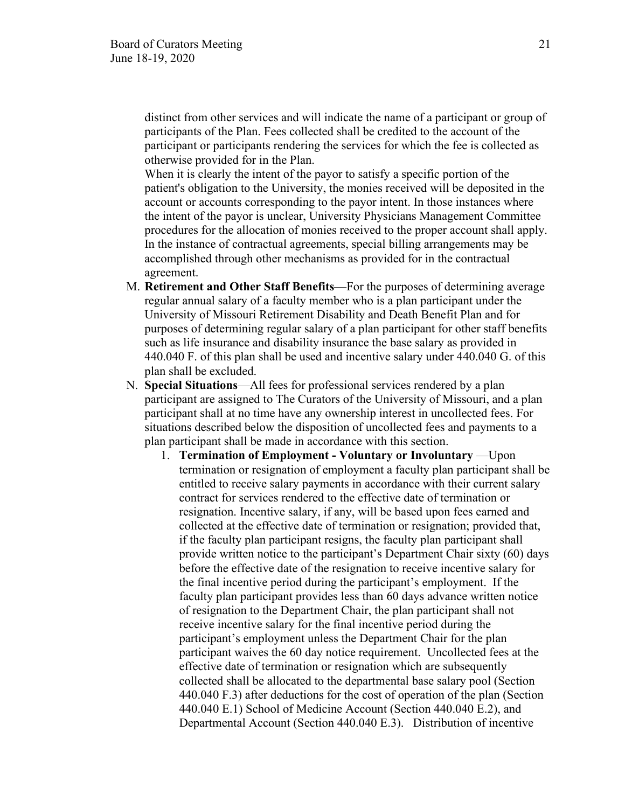distinct from other services and will indicate the name of a participant or group of participants of the Plan. Fees collected shall be credited to the account of the participant or participants rendering the services for which the fee is collected as otherwise provided for in the Plan.

When it is clearly the intent of the payor to satisfy a specific portion of the patient's obligation to the University, the monies received will be deposited in the account or accounts corresponding to the payor intent. In those instances where the intent of the payor is unclear, University Physicians Management Committee procedures for the allocation of monies received to the proper account shall apply. In the instance of contractual agreements, special billing arrangements may be accomplished through other mechanisms as provided for in the contractual agreement.

- M. **Retirement and Other Staff Benefits**—For the purposes of determining average regular annual salary of a faculty member who is a plan participant under the University of Missouri Retirement Disability and Death Benefit Plan and for purposes of determining regular salary of a plan participant for other staff benefits such as life insurance and disability insurance the base salary as provided in 440.040 F. of this plan shall be used and incentive salary under 440.040 G. of this plan shall be excluded.
- N. **Special Situations**—All fees for professional services rendered by a plan participant are assigned to The Curators of the University of Missouri, and a plan participant shall at no time have any ownership interest in uncollected fees. For situations described below the disposition of uncollected fees and payments to a plan participant shall be made in accordance with this section.
	- 1. **Termination of Employment Voluntary or Involuntary** —Upon termination or resignation of employment a faculty plan participant shall be entitled to receive salary payments in accordance with their current salary contract for services rendered to the effective date of termination or resignation. Incentive salary, if any, will be based upon fees earned and collected at the effective date of termination or resignation; provided that, if the faculty plan participant resigns, the faculty plan participant shall provide written notice to the participant's Department Chair sixty (60) days before the effective date of the resignation to receive incentive salary for the final incentive period during the participant's employment. If the faculty plan participant provides less than 60 days advance written notice of resignation to the Department Chair, the plan participant shall not receive incentive salary for the final incentive period during the participant's employment unless the Department Chair for the plan participant waives the 60 day notice requirement. Uncollected fees at the effective date of termination or resignation which are subsequently collected shall be allocated to the departmental base salary pool (Section 440.040 F.3) after deductions for the cost of operation of the plan (Section 440.040 E.1) School of Medicine Account (Section 440.040 E.2), and Departmental Account (Section 440.040 E.3). Distribution of incentive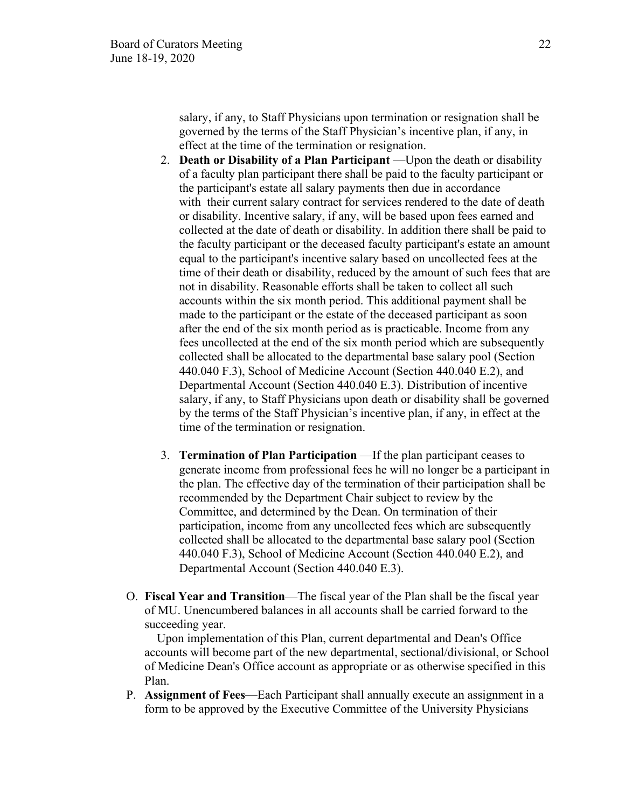salary, if any, to Staff Physicians upon termination or resignation shall be governed by the terms of the Staff Physician's incentive plan, if any, in effect at the time of the termination or resignation.

- 2. **Death or Disability of a Plan Participant** —Upon the death or disability of a faculty plan participant there shall be paid to the faculty participant or the participant's estate all salary payments then due in accordance with their current salary contract for services rendered to the date of death or disability. Incentive salary, if any, will be based upon fees earned and collected at the date of death or disability. In addition there shall be paid to the faculty participant or the deceased faculty participant's estate an amount equal to the participant's incentive salary based on uncollected fees at the time of their death or disability, reduced by the amount of such fees that are not in disability. Reasonable efforts shall be taken to collect all such accounts within the six month period. This additional payment shall be made to the participant or the estate of the deceased participant as soon after the end of the six month period as is practicable. Income from any fees uncollected at the end of the six month period which are subsequently collected shall be allocated to the departmental base salary pool (Section 440.040 F.3), School of Medicine Account (Section 440.040 E.2), and Departmental Account (Section 440.040 E.3). Distribution of incentive salary, if any, to Staff Physicians upon death or disability shall be governed by the terms of the Staff Physician's incentive plan, if any, in effect at the time of the termination or resignation.
- 3. **Termination of Plan Participation** —If the plan participant ceases to generate income from professional fees he will no longer be a participant in the plan. The effective day of the termination of their participation shall be recommended by the Department Chair subject to review by the Committee, and determined by the Dean. On termination of their participation, income from any uncollected fees which are subsequently collected shall be allocated to the departmental base salary pool (Section 440.040 F.3), School of Medicine Account (Section 440.040 E.2), and Departmental Account (Section 440.040 E.3).
- O. **Fiscal Year and Transition**—The fiscal year of the Plan shall be the fiscal year of MU. Unencumbered balances in all accounts shall be carried forward to the succeeding year.

 Upon implementation of this Plan, current departmental and Dean's Office accounts will become part of the new departmental, sectional/divisional, or School of Medicine Dean's Office account as appropriate or as otherwise specified in this Plan.

P. **Assignment of Fees**—Each Participant shall annually execute an assignment in a form to be approved by the Executive Committee of the University Physicians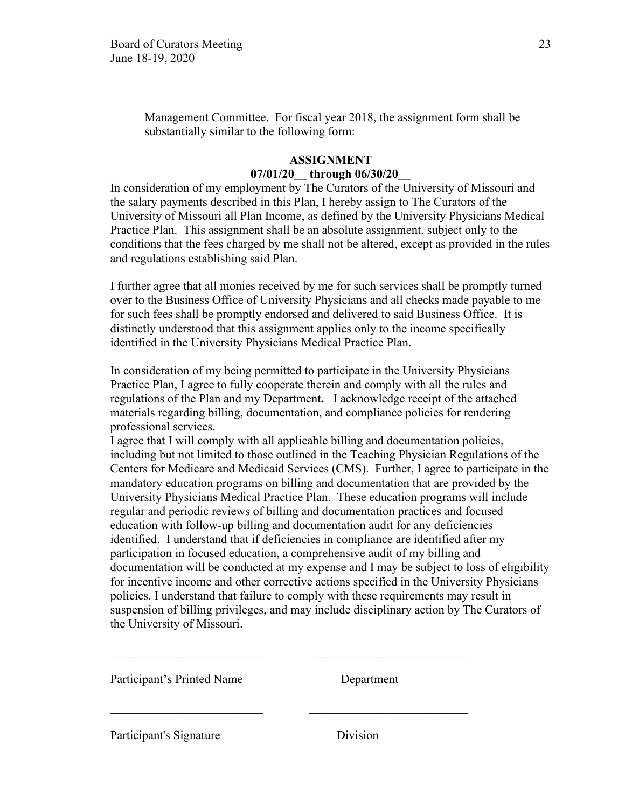Management Committee. For fiscal year 2018, the assignment form shall be substantially similar to the following form:

# **ASSIGNMENT 07/01/20\_\_ through 06/30/20\_\_**

In consideration of my employment by The Curators of the University of Missouri and the salary payments described in this Plan, I hereby assign to The Curators of the University of Missouri all Plan Income, as defined by the University Physicians Medical Practice Plan. This assignment shall be an absolute assignment, subject only to the conditions that the fees charged by me shall not be altered, except as provided in the rules and regulations establishing said Plan.

I further agree that all monies received by me for such services shall be promptly turned over to the Business Office of University Physicians and all checks made payable to me for such fees shall be promptly endorsed and delivered to said Business Office. It is distinctly understood that this assignment applies only to the income specifically identified in the University Physicians Medical Practice Plan.

In consideration of my being permitted to participate in the University Physicians Practice Plan, I agree to fully cooperate therein and comply with all the rules and regulations of the Plan and my Department**.** I acknowledge receipt of the attached materials regarding billing, documentation, and compliance policies for rendering professional services.

I agree that I will comply with all applicable billing and documentation policies, including but not limited to those outlined in the Teaching Physician Regulations of the Centers for Medicare and Medicaid Services (CMS). Further, I agree to participate in the mandatory education programs on billing and documentation that are provided by the University Physicians Medical Practice Plan. These education programs will include regular and periodic reviews of billing and documentation practices and focused education with follow-up billing and documentation audit for any deficiencies identified. I understand that if deficiencies in compliance are identified after my participation in focused education, a comprehensive audit of my billing and documentation will be conducted at my expense and I may be subject to loss of eligibility for incentive income and other corrective actions specified in the University Physicians policies. I understand that failure to comply with these requirements may result in suspension of billing privileges, and may include disciplinary action by The Curators of the University of Missouri.

Participant's Printed Name Department

Participant's Signature Division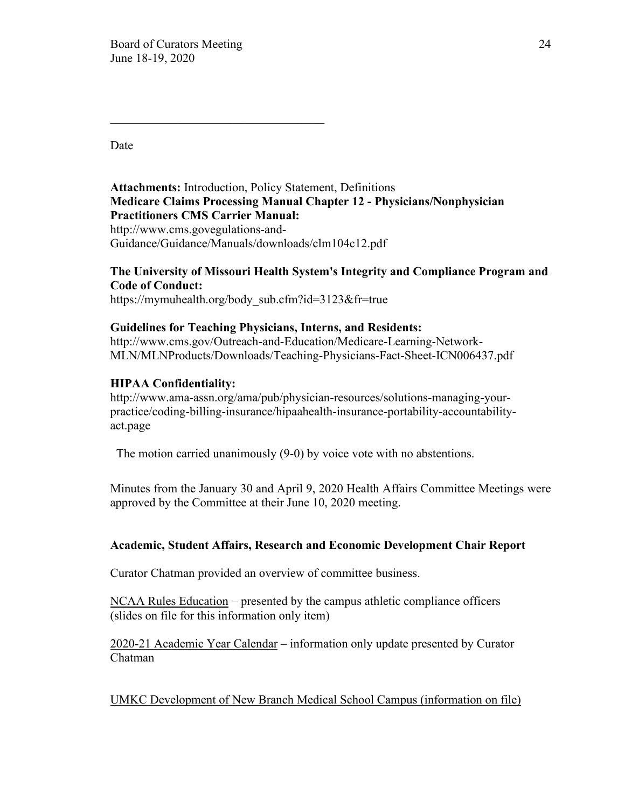$\mathcal{L}_\text{max}$  , and the set of the set of the set of the set of the set of the set of the set of the set of the set of the set of the set of the set of the set of the set of the set of the set of the set of the set of the

Date

**Attachments:** Introduction, Policy Statement, Definitions **Medicare Claims Processing Manual Chapter 12 - Physicians/Nonphysician Practitioners CMS Carrier Manual:**  http://www.cms.govegulations-and-Guidance/Guidance/Manuals/downloads/clm104c12.pdf

# **The University of Missouri Health System's Integrity and Compliance Program and Code of Conduct:**

https://mymuhealth.org/body\_sub.cfm?id=3123&fr=true

# **Guidelines for Teaching Physicians, Interns, and Residents:**

http://www.cms.gov/Outreach-and-Education/Medicare-Learning-Network-MLN/MLNProducts/Downloads/Teaching-Physicians-Fact-Sheet-ICN006437.pdf

# **HIPAA Confidentiality:**

http://www.ama-assn.org/ama/pub/physician-resources/solutions-managing-yourpractice/coding-billing-insurance/hipaahealth-insurance-portability-accountabilityact.page

The motion carried unanimously (9-0) by voice vote with no abstentions.

Minutes from the January 30 and April 9, 2020 Health Affairs Committee Meetings were approved by the Committee at their June 10, 2020 meeting.

# **Academic, Student Affairs, Research and Economic Development Chair Report**

Curator Chatman provided an overview of committee business.

NCAA Rules Education – presented by the campus athletic compliance officers (slides on file for this information only item)

2020-21 Academic Year Calendar – information only update presented by Curator Chatman

UMKC Development of New Branch Medical School Campus (information on file)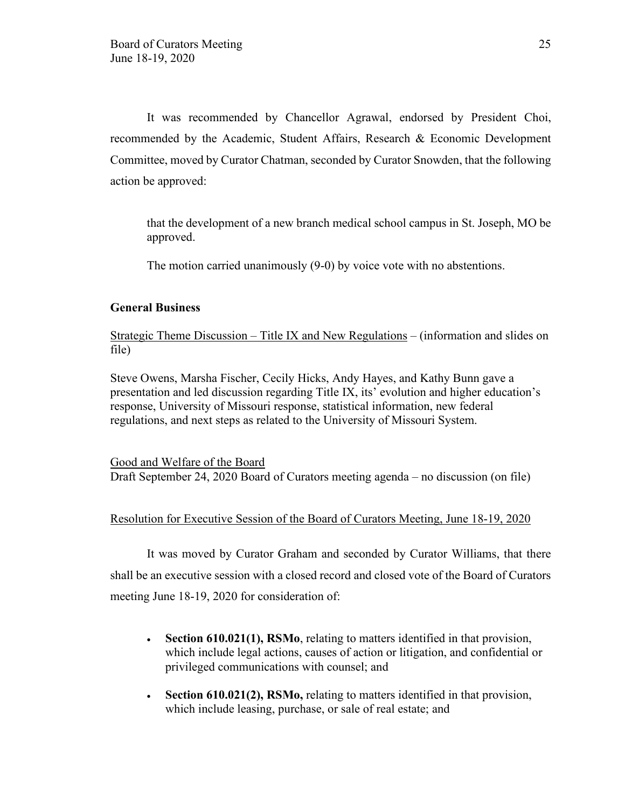It was recommended by Chancellor Agrawal, endorsed by President Choi, recommended by the Academic, Student Affairs, Research & Economic Development Committee, moved by Curator Chatman, seconded by Curator Snowden, that the following action be approved:

that the development of a new branch medical school campus in St. Joseph, MO be approved.

The motion carried unanimously (9-0) by voice vote with no abstentions.

#### **General Business**

Strategic Theme Discussion – Title IX and New Regulations – (information and slides on file)

Steve Owens, Marsha Fischer, Cecily Hicks, Andy Hayes, and Kathy Bunn gave a presentation and led discussion regarding Title IX, its' evolution and higher education's response, University of Missouri response, statistical information, new federal regulations, and next steps as related to the University of Missouri System.

Good and Welfare of the Board Draft September 24, 2020 Board of Curators meeting agenda – no discussion (on file)

### Resolution for Executive Session of the Board of Curators Meeting, June 18-19, 2020

It was moved by Curator Graham and seconded by Curator Williams, that there shall be an executive session with a closed record and closed vote of the Board of Curators meeting June 18-19, 2020 for consideration of:

- **Section 610.021(1), RSMo**, relating to matters identified in that provision, which include legal actions, causes of action or litigation, and confidential or privileged communications with counsel; and
- **Section 610.021(2), RSMo,** relating to matters identified in that provision, which include leasing, purchase, or sale of real estate; and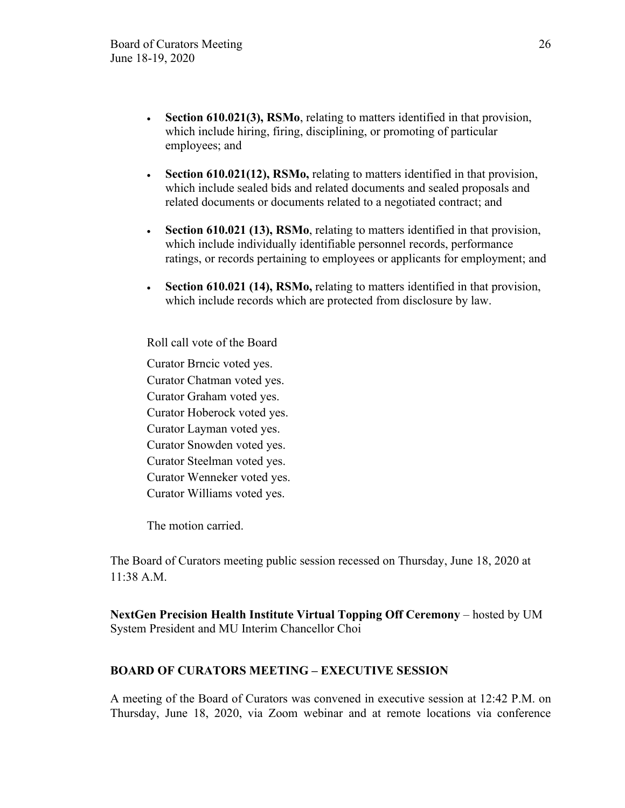- **Section 610.021(3), RSMo**, relating to matters identified in that provision, which include hiring, firing, disciplining, or promoting of particular employees; and
- **Section 610.021(12), RSMo,** relating to matters identified in that provision, which include sealed bids and related documents and sealed proposals and related documents or documents related to a negotiated contract; and
- **Section 610.021 (13), RSMo**, relating to matters identified in that provision, which include individually identifiable personnel records, performance ratings, or records pertaining to employees or applicants for employment; and
- **Section 610.021 (14), RSMo,** relating to matters identified in that provision, which include records which are protected from disclosure by law.

Roll call vote of the Board

Curator Brncic voted yes. Curator Chatman voted yes. Curator Graham voted yes. Curator Hoberock voted yes. Curator Layman voted yes. Curator Snowden voted yes. Curator Steelman voted yes. Curator Wenneker voted yes. Curator Williams voted yes.

The motion carried.

The Board of Curators meeting public session recessed on Thursday, June 18, 2020 at 11:38 A.M.

**NextGen Precision Health Institute Virtual Topping Off Ceremony** – hosted by UM System President and MU Interim Chancellor Choi

# **BOARD OF CURATORS MEETING – EXECUTIVE SESSION**

A meeting of the Board of Curators was convened in executive session at 12:42 P.M. on Thursday, June 18, 2020, via Zoom webinar and at remote locations via conference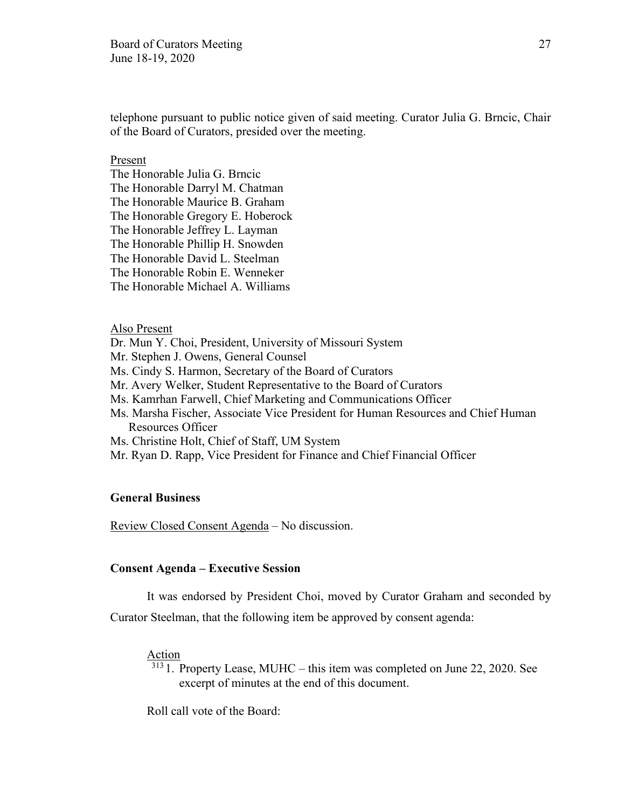telephone pursuant to public notice given of said meeting. Curator Julia G. Brncic, Chair of the Board of Curators, presided over the meeting.

#### Present

The Honorable Julia G. Brncic The Honorable Darryl M. Chatman The Honorable Maurice B. Graham The Honorable Gregory E. Hoberock The Honorable Jeffrey L. Layman The Honorable Phillip H. Snowden The Honorable David L. Steelman The Honorable Robin E. Wenneker The Honorable Michael A. Williams

#### Also Present

Dr. Mun Y. Choi, President, University of Missouri System

Mr. Stephen J. Owens, General Counsel

Ms. Cindy S. Harmon, Secretary of the Board of Curators

Mr. Avery Welker, Student Representative to the Board of Curators

Ms. Kamrhan Farwell, Chief Marketing and Communications Officer

Ms. Marsha Fischer, Associate Vice President for Human Resources and Chief Human Resources Officer

Ms. Christine Holt, Chief of Staff, UM System

Mr. Ryan D. Rapp, Vice President for Finance and Chief Financial Officer

#### **General Business**

Review Closed Consent Agenda – No discussion.

#### **Consent Agenda – Executive Session**

It was endorsed by President Choi, moved by Curator Graham and seconded by

Curator Steelman, that the following item be approved by consent agenda:

#### Action

 $\frac{313}{11}$ . Property Lease, MUHC – this item was completed on June 22, 2020. See excerpt of minutes at the end of this document.

Roll call vote of the Board: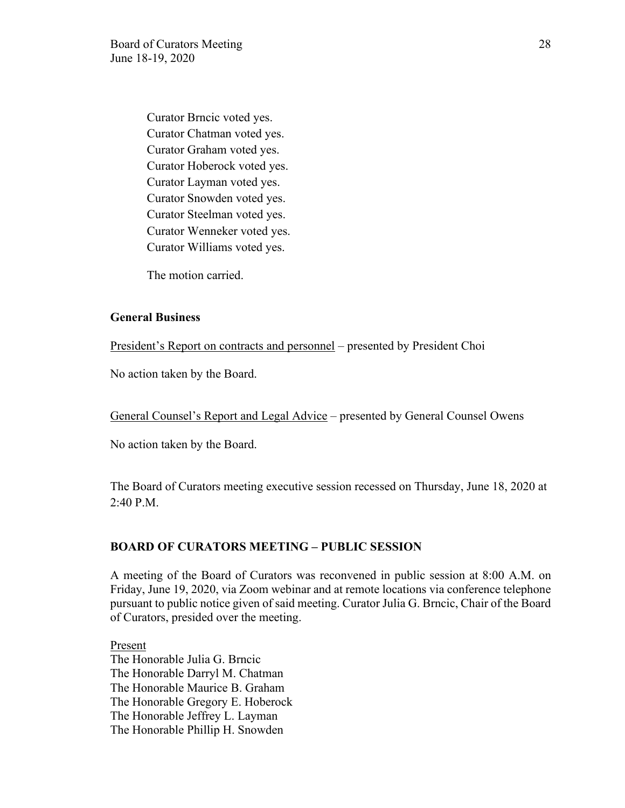Curator Brncic voted yes. Curator Chatman voted yes. Curator Graham voted yes. Curator Hoberock voted yes. Curator Layman voted yes. Curator Snowden voted yes. Curator Steelman voted yes. Curator Wenneker voted yes. Curator Williams voted yes.

The motion carried.

#### **General Business**

President's Report on contracts and personnel – presented by President Choi

No action taken by the Board.

General Counsel's Report and Legal Advice – presented by General Counsel Owens

No action taken by the Board.

The Board of Curators meeting executive session recessed on Thursday, June 18, 2020 at 2:40 P.M.

#### **BOARD OF CURATORS MEETING – PUBLIC SESSION**

A meeting of the Board of Curators was reconvened in public session at 8:00 A.M. on Friday, June 19, 2020, via Zoom webinar and at remote locations via conference telephone pursuant to public notice given of said meeting. Curator Julia G. Brncic, Chair of the Board of Curators, presided over the meeting.

Present The Honorable Julia G. Brncic The Honorable Darryl M. Chatman The Honorable Maurice B. Graham The Honorable Gregory E. Hoberock The Honorable Jeffrey L. Layman The Honorable Phillip H. Snowden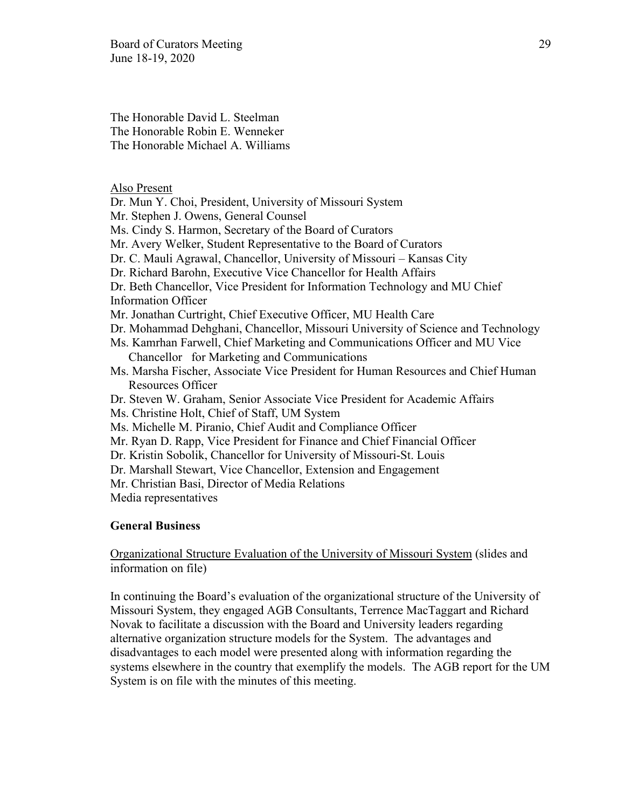Board of Curators Meeting 29 June 18-19, 2020

The Honorable David L. Steelman The Honorable Robin E. Wenneker The Honorable Michael A. Williams

Also Present

Dr. Mun Y. Choi, President, University of Missouri System Mr. Stephen J. Owens, General Counsel Ms. Cindy S. Harmon, Secretary of the Board of Curators Mr. Avery Welker, Student Representative to the Board of Curators Dr. C. Mauli Agrawal, Chancellor, University of Missouri – Kansas City Dr. Richard Barohn, Executive Vice Chancellor for Health Affairs Dr. Beth Chancellor, Vice President for Information Technology and MU Chief Information Officer Mr. Jonathan Curtright, Chief Executive Officer, MU Health Care Dr. Mohammad Dehghani, Chancellor, Missouri University of Science and Technology Ms. Kamrhan Farwell, Chief Marketing and Communications Officer and MU Vice Chancellor for Marketing and Communications Ms. Marsha Fischer, Associate Vice President for Human Resources and Chief Human

Resources Officer

Dr. Steven W. Graham, Senior Associate Vice President for Academic Affairs

- Ms. Christine Holt, Chief of Staff, UM System
- Ms. Michelle M. Piranio, Chief Audit and Compliance Officer
- Mr. Ryan D. Rapp, Vice President for Finance and Chief Financial Officer
- Dr. Kristin Sobolik, Chancellor for University of Missouri-St. Louis
- Dr. Marshall Stewart, Vice Chancellor, Extension and Engagement
- Mr. Christian Basi, Director of Media Relations
- Media representatives

#### **General Business**

Organizational Structure Evaluation of the University of Missouri System (slides and information on file)

In continuing the Board's evaluation of the organizational structure of the University of Missouri System, they engaged AGB Consultants, Terrence MacTaggart and Richard Novak to facilitate a discussion with the Board and University leaders regarding alternative organization structure models for the System. The advantages and disadvantages to each model were presented along with information regarding the systems elsewhere in the country that exemplify the models. The AGB report for the UM System is on file with the minutes of this meeting.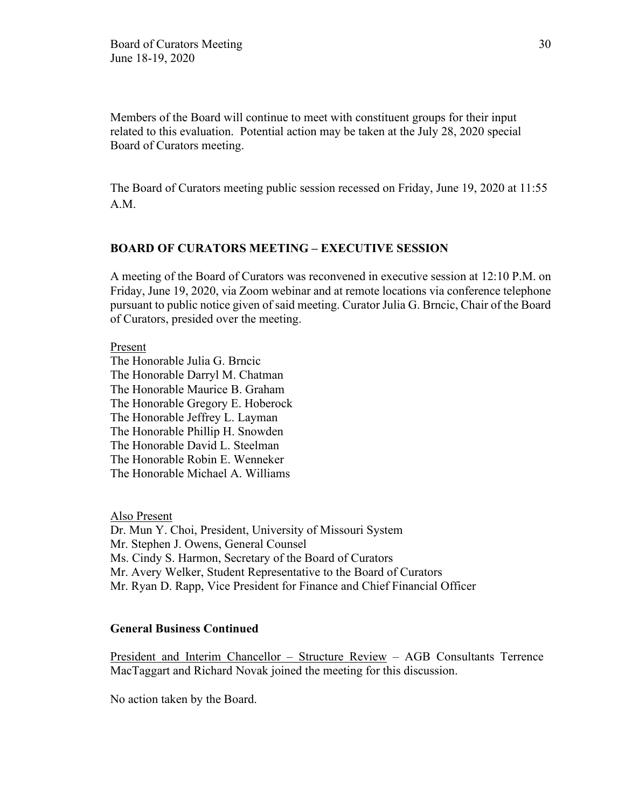Members of the Board will continue to meet with constituent groups for their input related to this evaluation. Potential action may be taken at the July 28, 2020 special Board of Curators meeting.

The Board of Curators meeting public session recessed on Friday, June 19, 2020 at 11:55 A.M.

# **BOARD OF CURATORS MEETING – EXECUTIVE SESSION**

A meeting of the Board of Curators was reconvened in executive session at 12:10 P.M. on Friday, June 19, 2020, via Zoom webinar and at remote locations via conference telephone pursuant to public notice given of said meeting. Curator Julia G. Brncic, Chair of the Board of Curators, presided over the meeting.

Present

The Honorable Julia G. Brncic The Honorable Darryl M. Chatman The Honorable Maurice B. Graham The Honorable Gregory E. Hoberock The Honorable Jeffrey L. Layman The Honorable Phillip H. Snowden The Honorable David L. Steelman The Honorable Robin E. Wenneker The Honorable Michael A. Williams

Also Present Dr. Mun Y. Choi, President, University of Missouri System Mr. Stephen J. Owens, General Counsel Ms. Cindy S. Harmon, Secretary of the Board of Curators Mr. Avery Welker, Student Representative to the Board of Curators Mr. Ryan D. Rapp, Vice President for Finance and Chief Financial Officer

### **General Business Continued**

President and Interim Chancellor – Structure Review – AGB Consultants Terrence MacTaggart and Richard Novak joined the meeting for this discussion.

No action taken by the Board.